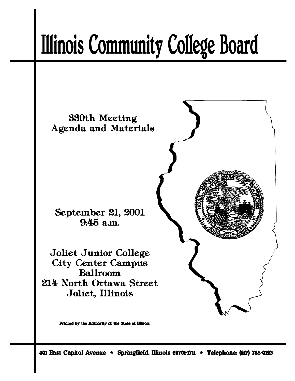# **Illinois Community College Board**



401 East Capitol Avenue \* Springfield, Illinois 62701-1711 \* Telephone: (217) 785-0123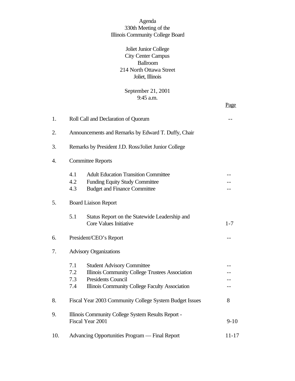# Agenda 330th Meeting of the Illinois Community College Board

# Joliet Junior College City Center Campus Ballroom 214 North Ottawa Street Joliet, Illinois

# September 21, 2001 9:45 a.m.

Page

| 1.  | Roll Call and Declaration of Quorum                                                                                                                                                             |           |  |
|-----|-------------------------------------------------------------------------------------------------------------------------------------------------------------------------------------------------|-----------|--|
| 2.  | Announcements and Remarks by Edward T. Duffy, Chair                                                                                                                                             |           |  |
| 3.  | Remarks by President J.D. Ross/Joliet Junior College                                                                                                                                            |           |  |
| 4.  | <b>Committee Reports</b>                                                                                                                                                                        |           |  |
|     | 4.1<br><b>Adult Education Transition Committee</b><br>4.2<br>Funding Equity Study Committee<br>4.3<br><b>Budget and Finance Committee</b>                                                       |           |  |
| 5.  | <b>Board Liaison Report</b>                                                                                                                                                                     |           |  |
|     | 5.1<br>Status Report on the Statewide Leadership and<br>Core Values Initiative                                                                                                                  | $1 - 7$   |  |
| 6.  | President/CEO's Report                                                                                                                                                                          |           |  |
| 7.  | <b>Advisory Organizations</b>                                                                                                                                                                   |           |  |
|     | 7.1<br><b>Student Advisory Committee</b><br>7.2<br>Illinois Community College Trustees Association<br><b>Presidents Council</b><br>7.3<br>Illinois Community College Faculty Association<br>7.4 |           |  |
| 8.  | Fiscal Year 2003 Community College System Budget Issues                                                                                                                                         | 8         |  |
| 9.  | Illinois Community College System Results Report -<br>Fiscal Year 2001                                                                                                                          |           |  |
| 10. | Advancing Opportunities Program — Final Report                                                                                                                                                  | $11 - 17$ |  |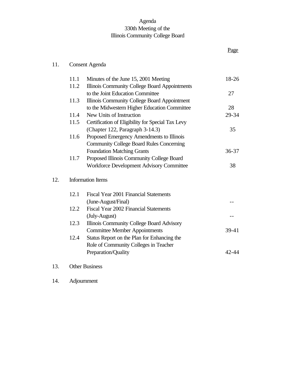# Agenda 330th Meeting of the Illinois Community College Board

Page

# 11. Consent Agenda

| 11.1 | Minutes of the June 15, 2001 Meeting              | 18-26     |
|------|---------------------------------------------------|-----------|
| 11.2 | Illinois Community College Board Appointments     |           |
|      | to the Joint Education Committee                  | 27        |
| 11.3 | Illinois Community College Board Appointment      |           |
|      | to the Midwestern Higher Education Committee      | 28        |
| 11.4 | New Units of Instruction                          | 29-34     |
| 11.5 | Certification of Eligibility for Special Tax Levy |           |
|      | (Chapter 122, Paragraph 3-14.3)                   | 35        |
| 11.6 | Proposed Emergency Amendments to Illinois         |           |
|      | <b>Community College Board Rules Concerning</b>   |           |
|      | <b>Foundation Matching Grants</b>                 | $36 - 37$ |
| 11.7 | Proposed Illinois Community College Board         |           |
|      | <b>Workforce Development Advisory Committee</b>   | 38        |
|      | <b>Information Items</b>                          |           |
| 12.1 | Fiscal Year 2001 Financial Statements             |           |
|      | (June-August/Final)                               |           |
| 12.2 | Fiscal Year 2002 Financial Statements             |           |
|      | (July-August)                                     |           |
| 12.3 | Illinois Community College Board Advisory         |           |
|      | <b>Committee Member Appointments</b>              | $39-41$   |
| 12.4 | Status Report on the Plan for Enhancing the       |           |
|      | Role of Community Colleges in Teacher             |           |
|      | Preparation/Quality                               | 42-44     |
|      |                                                   |           |
|      |                                                   |           |

# 13. Other Business

 $12.$ 

14. Adjournment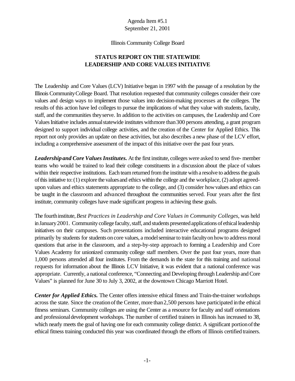#### Illinois Community College Board

# **STATUS REPORT ON THE STATEWIDE LEADERSHIP AND CORE VALUES INITIATIVE**

The Leadership and Core Values (LCV) Initiative began in 1997 with the passage of a resolution by the Illinois CommunityCollege Board. That resolution requested that community colleges consider their core values and design ways to implement those values into decision-making processes at the colleges. The results of this action have led colleges to pursue the implications of what they value with students, faculty, staff, and the communities theyserve. In addition to the activities on campuses, the Leadership and Core Values Initiative includes annual statewide institutes with more than 300 persons attending, a grant program designed to support individual college activities, and the creation of the Center for Applied Ethics. This report not only provides an update on these activities, but also describes a new phase of the LCV effort, including a comprehensive assessment of the impact of this initiative over the past four years.

Leadership and Core Values Institutes. At the first institute, colleges were asked to send five- member teams who would be trained to lead their college constituents in a discussion about the place of values within their respective institutions. Each team returned from the institute with a resolve to address the goals of this initiative to: (1) explore the values and ethics within the college and the workplace, (2) adopt agreedupon values and ethics statements appropriate to the college, and (3) consider howvalues and ethics can be taught in the classroom and advanced throughout the communities served. Four years after the first institute, community colleges have made significant progress in achieving these goals.

The fourthinstitute,*Best Practices in Leadership and Core Values in Community Colleges*, was held inJanuary2001. Community college faculty, staff, and students presented applications of ethical leadership initiatives on their campuses. Such presentations included interactive educational programs designed primarily by students for students on core values, a model seminar to train faculty on how to address moral questions that arise in the classroom, and a step-by-step approach to forming a Leadership and Core Values Academy for unionized community college staff members. Over the past four years, more than 1,000 persons attended all four institutes. From the demands in the state for this training and national requests for information about the Illinois LCV Initiative, it was evident that a national conference was appropriate. Currently, a national conference, "Connecting and Developing through Leadership and Core Values" is planned for June 30 to July 3, 2002, at the downtown Chicago Marriott Hotel.

*Center for Applied Ethics.* The Center offers intensive ethical fitness and Train-the-trainer workshops across the state. Since the creation of the Center, more than 2,500 persons have participated in the ethical fitness seminars. Community colleges are using the Center as a resource for faculty and staff orientations and professional development workshops. The number of certified trainers in Illinois has increased to 38, which nearly meets the goal of having one for each community college district. A significant portion of the ethical fitness training conducted this year was coordinated through the efforts of Illinois certified trainers.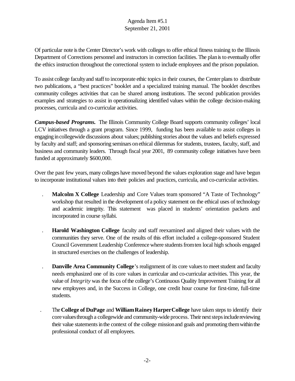Of particular note is the Center Director's work with colleges to offer ethical fitness training to the Illinois Department of Corrections personnel and instructors in correction facilities. The plan is to eventually offer the ethics instruction throughout the correctional system to include employees and the prison population.

To assist college facultyand staffto incorporate ethic topics in their courses, the Center plans to distribute two publications, a "best practices" booklet and a specialized training manual. The booklet describes community colleges activities that can be shared among institutions. The second publication provides examples and strategies to assist in operationalizing identified values within the college decision-making processes, curricula and co-curricular activities.

*Campus-based Programs.* The Illinois Community College Board supports community colleges' local LCV initiatives through a grant program. Since 1999, funding has been available to assist colleges in engaging incollegewide discussions about values; publishing stories about the values and beliefs expressed by faculty and staff; and sponsoring seminars onethical dilemmas for students, trustees, faculty, staff, and business and community leaders. Through fiscal year 2001, 89 community college initiatives have been funded at approximately \$600,000.

Over the past few years, many colleges have moved beyond the values exploration stage and have begun to incorporate institutional values into their policies and practices, curricula, and co-curricular activities.

- . **Malcolm X College** Leadership and Core Values team sponsored "A Taste of Technology" workshop that resulted in the development of a policy statement on the ethical uses of technology and academic integrity. This statement was placed in students' orientation packets and incorporated in course syllabi.
- . **Harold Washington College** faculty and staff reexamined and aligned their values with the communities they serve. One of the results of this effort included a college-sponsored Student Council Government Leadership Conference where students from ten local high schools engaged in structured exercises on the challenges of leadership.
- **Danville Area Community College**'s realignment of its core values to meet student and faculty needs emphasized one of its core values in curricular and co-curricular activities. This year, the value of *Integrity* was the focus of the college's Continuous Quality Improvement Training for all new employees and, in the Success in College, one credit hour course for first-time, full-time students.
- . The**College of DuPage** and **WilliamRaineyHarperCollege** have taken steps to identify their core values through a collegewide and community-wide process. Their next steps include reviewing their value statements in the context of the college mission and goals and promoting them within the professional conduct of all employees.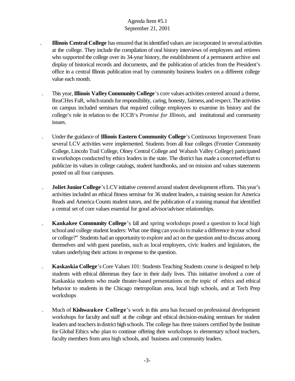- . **Illinois Central College** has ensured that itsidentified values are incorporated in severalactivities at the college. They include the compilation of oral history interviews of employees and retirees who supported the college over its 34-year history, the establishment of a permanent archive and display of historical records and documents, and the publication of articles from the President's office in a central Illinois publication read by community business leaders on a different college value each month.
- . This year,**Illinois ValleyCommunity College**'s core values activities centered around a theme, ReaCHes FaR, which stands for responsibility, caring, honesty, fairness, and respect. The activities on campus included seminars that required college employees to examine its history and the college's role in relation to the ICCB's *Promise for Illinois*, and institutional and community issues.
- Under the guidance of **Illinois Eastern Community College**'s Continuous Improvement Team several LCV activities were implemented. Students from all four colleges (Frontier Community College, Lincoln Trail College, Olney Central College and Wabash Valley College) participated inworkshops conducted by ethics leaders in the state. The district has made a concerted effort to publicize its values in college catalogs, student handbooks, and on mission and values statements posted on all four campuses.
- **Joliet Junior College**'s LCV initiative centered around student development efforts. This year's activities included an ethical fitness seminar for 36 student leaders, a training session for America Reads and America Counts student tutors, and the publication of a training manual that identified a central set of core values essential for good advisor/advisee relationships.
- . **Kankakee Community College**'s fall and spring workshops posed a question to local high schooland college student leaders: What one thing canyoudo to make a difference inyour school or college?" Students had an opportunity to explore and act on the question and to discuss among themselves and with guest panelists, such as local employers, civic leaders and legislators, the values underlying their actions in response to the question.
- . **Kaskaskia College**'s Core Values 101: Students Teaching Students course is designed to help students with ethical dilemmas they face in their daily lives. This initiative involved a core of Kaskaskia students who made theater-based presentations on the topic of ethics and ethical behavior to students in the Chicago metropolitan area, local high schools, and at Tech Prep workshops
- . Much of **Kishwaukee College**'s work in this area has focused on professional development workshops for faculty and staff at the college and ethical decision-making seminars for student leaders and teachers in district high schools. The college has three trainers certified by the Institute for Global Ethics who plan to continue offering their workshops to elementary school teachers, faculty members from area high schools, and business and community leaders.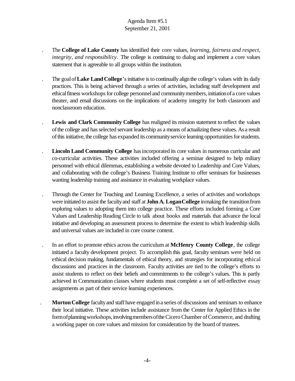- . The **College of Lake County** has identified their core values, *learning, fairness and respect, integrity, and responsibility.* The college is continuing to dialog and implement a core values statement that is agreeable to all groups within the institution.
- The goal of **Lake Land College**'s initiative is to continually align the college's values with its daily practices. This is being achieved through a series of activities, including staff development and ethical fitness workshops for college personnel and community members, initiation of a core values theater, and email discussions on the implications of academy integrity for both classroom and nonclassroom education.
- . **Lewis and Clark Community College** has realigned its mission statement to reflect the values ofthe college and hasselected servant leadership as a means of actualizing these values. Asa result of this initiative, the college has expanded its community service learning opportunities for students.
- **Lincoln Land Community College** has incorporated its core values in numerous curricular and co-curricular activities. These activities included offering a seminar designed to help miliary personnel with ethical dilemmas, establishing a website devoted to Leadership and Core Values, and collaborating with the college's Business Training Institute to offer seminars for businesses wanting leadership training and assistance in evaluating workplace values.
- . Through the Center for Teaching and Learning Excellence, a series of activities and workshops were initiated to assist the facultyand staff at **John A. LoganCollege** inmaking the transitionfrom exploring values to adopting them into college practice. These efforts included forming a Core Values and Leadership Reading Circle to talk about books and materials that advance the local initiative and developing an assessment process to determine the extent to which leadership skills and universal values are included in core course content.
- . In an effort to promote ethics across the curriculum at **McHenry County College**, the college initiated a faculty development project. To accomplish this goal, faculty seminars were held on ethical decision making, fundamentals of ethical theory, and strategies for incorporating ethical discussions and practices in the classroom. Faculty activities are tied to the college's efforts to assist students to reflect on their beliefs and commitments to the college's values. This is partly achieved in Communication classes where students must complete a set of self-reflective essay assignments as part of their service learning experiences.
	- **Morton College** faculty and staff have engaged in a series of discussions and seminars to enhance their local initiative. These activities include assistance from the Center for Applied Ethics in the form of planning workshops, involving members of the Cicero Chamber of Commerce, and drafting a working paper on core values and mission for consideration by the board of trustees.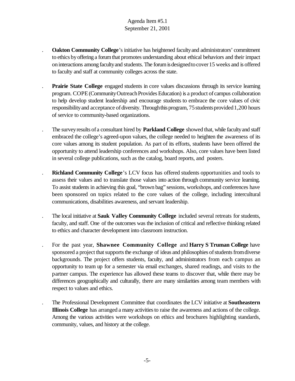- . **Oakton Community College**'s initiative has heightened facultyand administrators' commitment to ethics by offering a forum that promotes understanding about ethical behaviors and their impact on interactions among faculty and students. The forum is designed to cover 15 weeks and is offered to faculty and staff at community colleges across the state.
- . **Prairie State College** engaged students in core values discussions through its service learning program. COPE (Community Outreach Provides Education) is a product of campus collaboration to help develop student leadership and encourage students to embrace the core values of civic responsibility and acceptance of diversity. Through this program, 75 students provided 1,200 hours of service to community-based organizations.
- The survey results of a consultant hired by **Parkland College** showed that, while faculty and staff embraced the college's agreed-upon values, the college needed to heighten the awareness of its core values among its student population. As part of its efforts, students have been offered the opportunity to attend leadership conferences and workshops. Also, core values have been listed in several college publications, such as the catalog, board reports, and posters.
- . **Richland Community College**'s LCV focus has offered students opportunities and tools to assess their values and to translate those values into action through community service learning. To assist students in achieving this goal, "brown bag" sessions, workshops, and conferences have been sponsored on topics related to the core values of the college, including intercultural communications, disabilities awareness, and servant leadership.
- . The local initiative at **Sauk Valley Community College** included several retreats for students, faculty, and staff. One of the outcomes was the inclusion of critical and reflective thinking related to ethics and character development into classroom instruction.
- . For the past year, **Shawnee Community College** and **Harry S Truman College** have sponsored a project that supports the exchange of ideas and philosophies of students from diverse backgrounds. The project offers students, faculty, and administrators from each campus an opportunity to team up for a semester via email exchanges, shared readings, and visits to the partner campus. The experience has allowed these teams to discover that, while there may be differences geographically and culturally, there are many similarities among team members with respect to values and ethics.
	- . The Professional Development Committee that coordinates the LCV initiative at **Southeastern Illinois College** has arranged a many activities to raise the awareness and actions of the college. Among the various activities were workshops on ethics and brochures highlighting standards, community, values, and history at the college.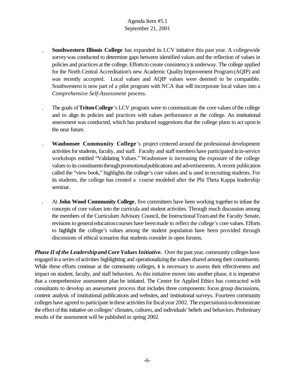- . **Southwestern Illinois College** has expanded its LCV initiative this past year. A collegewide surveywas conducted to determine gaps between identified values and the reflection of values in policies and practices at the college. Effortsto create consistencyis underway. The college applied for the North Central Accreditation's new Academic QualityImprovement Program(AQIP) and was recently accepted. Local values and AQIP values were deemed to be compatible. Southwestern is now part of a pilot program with NCA that will incorporate local values into a *Comprehensive Self-Assessment* process.
- The goals of **Triton College**'s LCV program were to communicate the core values of the college and to align its policies and practices with values performance at the college. An institutional assessment was conducted, which has produced suggestions that the college plans to act uponin the near future.
- . **Waubonsee Community College**'s project centered around the professional development activities for students, faculty, and staff. Faculty and staff members have participated in in-service workshops entitled "Validating Values." Waubonsee is increasing the exposure of the college values to its constituents through promotional publications and advertisements. A recent publication called the "view book," highlights the college's core values and is used in recruiting students. For its students, the college has created a course modeled after the Phi Theta Kappa leadership seminar.
- At **John Wood Community College**, five committees have been working together to infuse the concepts of core values into the curricula and student activities. Through much discussion among the members of the Curriculum Advisory Council, the InstructionalTeamand the Faculty Senate, revisions to general education courses have been made to reflect the college's core values. Efforts to highlight the college's values among the student population have been provided through discussions of ethical scenarios that students consider in open forums.

*Phase II of the Leadership and Core Values Initiative.* Over the past year, community colleges have engaged in a series of activities highlighting and operationalizing the values shared among their constituents. While these efforts continue at the community colleges, it is necessary to assess their effectiveness and impact on student, faculty, and staff behaviors. As this initiative moves into another phase, it is imperative that a comprehensive assessment plan be initiated. The Center for Applied Ethics has contracted with consultants to develop an assessment process that includes three components: focus group discussions, content analysis of institutional publications and websites, and institutional surveys. Fourteen community colleges have agreed to participate in these activities for fiscal year 2002. The expectation is to demonstrate the effect of this initiative on colleges' climates, cultures, and individuals' beliefs and behaviors. Preliminary results of the assessment will be published in spring 2002.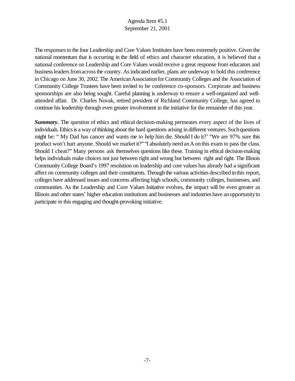The responses to the four Leadership and Core Values Institutes have been extremely positive. Given the national momentum that is occurring in the field of ethics and character education, it is believed that a national conference on Leadership and Core Values would receive a great response from educators and business leaders from across the country. As indicated earlier, plans are underway to hold this conference in Chicago on June 30, 2002. The American Association for Community Colleges and the Association of Community College Trustees have been invited to be conference co-sponsors. Corporate and business sponsorships are also being sought. Careful planning is underway to ensure a well-organized and wellattended affair. Dr. Charles Novak, retired president of Richland Community College, has agreed to continue his leadership through even greater involvement in the initiative for the remainder of this year.

**Summary.** The question of ethics and ethical decision-making permeates every aspect of the lives of individuals. Ethics is a way of thinking about the hard questions arising in different ventures. Such questions might be: " My Dad has cancer and wants me to help him die. Should I do it?' "We are 97% sure this product won't hurt anyone. Should we market it?" "I absolutely need an A on this exam to pass the class. Should I cheat?" Many persons ask themselves questions like these. Training in ethical decision-making helps individuals make choices not just between right and wrong but between right and right. The Illinois Community College Board's 1997 resolution on leadership and core values has already had a significant affect on community colleges and their constituents.Through the various activities described inthis report, colleges have addressed issues and concerns affecting high schools, community colleges, businesses, and communities. As the Leadership and Core Values Initiative evolves, the impact will be even greater as Illinois and other states' higher education institutions and businesses and industries have anopportunityto participate in this engaging and thought-provoking initiative.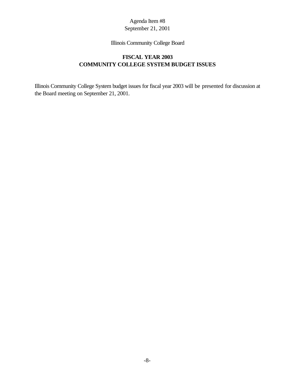#### Illinois Community College Board

# **FISCAL YEAR 2003 COMMUNITY COLLEGE SYSTEM BUDGET ISSUES**

Illinois Community College System budget issues for fiscal year 2003 will be presented for discussion at the Board meeting on September 21, 2001.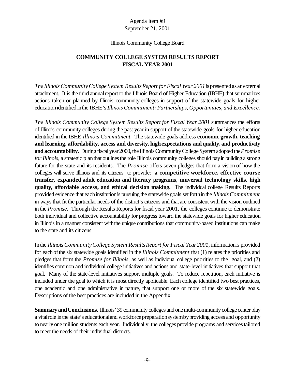#### Illinois Community College Board

# **COMMUNITY COLLEGE SYSTEM RESULTS REPORT FISCAL YEAR 2001**

*The Illinois CommunityCollege System ResultsReport for Fiscal Year 2001*ispresentedas anexternal attachment. It is the third annualreport to the Illinois Board of Higher Education (IBHE) that summarizes actions taken or planned by Illinois community colleges in support of the statewide goals for higher educationidentified inthe IBHE's*Illinois Commitment:Partnerships, Opportunities, and Excellence.*

*The Illinois Community College System Results Report for Fiscal Year 2001* summarizes the efforts of Illinois community colleges during the past year in support of the statewide goals for higher education identified in the IBHE *Illinois Commitment.* The statewide goals address **economic growth, teaching and learning, affordability, access and diversity, highexpectations and quality, and productivity and accountability.** During fiscal year 2000, the Illinois Community College System adopted the *Promise for Illinois*, a strategic planthat outlines the role Illinois community colleges should pay in building a strong future for the state and its residents. The *Promise* offers seven pledges that form a vision of how the colleges will serve Illinois and its citizens to provide: **a competitive workforce, effective course transfer, expanded adult education and literacy programs, universal technology skills, high quality, affordable access, and ethical decision making.** The individual college Results Reports provided evidence that eachinstitutionis pursuing the statewide goals setforthinthe *Illinois Commitment* in ways that fit the particular needs of the district's citizens and that are consistent with the vision outlined in the *Promise.* Through the Results Reports for fiscal year 2001, the colleges continue to demonstrate both individual and collective accountability for progress toward the statewide goals for higher education in Illinois in a manner consistent with the unique contributions that community-based institutions can make to the state and its citizens.

Inthe *Illinois CommunityCollege System ResultsReport for Fiscal Year2001*, informationis provided for eachofthe six statewide goals identified in the *Illinois Commitment* that (1) relates the priorities and pledges that form the *Promise for Illinois,* as well as individual college priorities to the goal, and (2) identifies common and individual college initiatives and actions and state-level initiatives that support that goal. Many of the state-level initiatives support multiple goals. To reduce repetition, each initiative is included under the goal to which it is most directly applicable. Each college identified two best practices, one academic and one administrative in nature, that support one or more of the six statewide goals. Descriptions of the best practices are included in the Appendix.

**Summary and Conclusions.** Illinois' 39 community colleges and one multi-community college center play a vital role in the state's educational and workforce preparationsystemby providing access and opportunity to nearly one million students each year. Individually, the colleges provide programs and services tailored to meet the needs of their individual districts.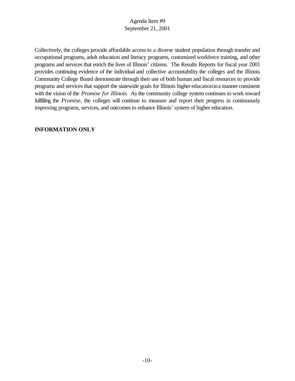Collectively, the colleges provide affordable access to a diverse student population through transfer and occupational programs, adult education and literacy programs, customized workforce training, and other programs and services that enrich the lives of Illinois' citizens. The Results Reports for fiscal year 2001 provides continuing evidence of the individual and collective accountability the colleges and the Illinois Community College Board demonstrate through their use of both human and fiscal resources to provide programs and services that support the statewide goals for Illinois higher educationina manner consistent with the vision of the *Promise for Illinois.* As the community college system continues to work toward fulfilling the *Promise*, the colleges will continue to measure and report their progress in continuously improving programs, services, and outcomes to enhance Illinois' system of higher education.

#### **INFORMATION ONLY**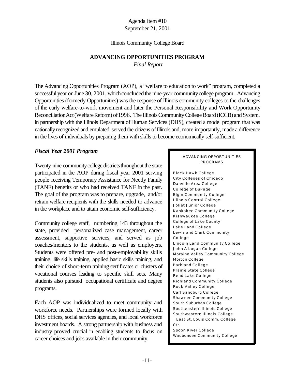#### Illinois Community College Board

# **ADVANCING OPPORTUNITIES PROGRAM**

*Final Report*

The Advancing Opportunities Program (AOP), a "welfare to education to work" program, completed a successful year on June 30, 2001, which concluded the nine-year community college program. Advancing Opportunities (formerly Opportunities) was the response of Illinois community colleges to the challenges of the early welfare-to-work movement and later the Personal Responsibility and Work Opportunity Reconciliation Act (Welfare Reform) of 1996. The Illinois Community College Board (ICCB) and System, in partnership with the Illinois Department of Human Services (DHS), created a model program that was nationally recognized and emulated, served the citizens of Illinois and, more importantly, made a difference in the lives of individuals by preparing them with skills to become economically self-sufficient.

## *Fiscal Year 2001 Program*

Twenty-nine community college districts throughout the state participated in the AOP during fiscal year 2001 serving people receiving Temporary Assistance for Needy Family (TANF) benefits or who had received TANF in the past. The goal of the program was to prepare, upgrade, and/or retrain welfare recipients with the skills needed to advance in the workplace and to attain economic self-sufficiency.

Community college staff, numbering 143 throughout the state, provided personalized case management, career assessment, supportive services, and served as job coaches/mentors to the students, as well as employers. Students were offered pre- and post-employability skills training, life skills training, applied basic skills training, and their choice of short-term training certificates or clusters of vocational courses leading to specific skill sets. Many students also pursued occupational certificate and degree programs.

Each AOP was individualized to meet community and workforce needs. Partnerships were formed locally with DHS offices, social services agencies, and local workforce investment boards. A strong partnership with business and industry proved crucial in enabling students to focus on career choices and jobs available in their community.

#### ADVANCING OPPORTUNITIES PROGRAMS

Black Hawk College City Colleges of Chicago Danville Area College College of DuPage Elgin Community College Illinois Central College Joliet Junior College Kankakee Community College Kishwaukee College College of Lake County Lake Land College Lewis and Clark Community College Lincoln Land Community College John A Logan College Moraine Valley Community College Morton College Parkland College Prairie State College Rend Lake College Richland Community College Rock Valley College Carl Sandburg College Shawnee Community College South Suburban College Southeastern Illinois College Southwestern Illinois College East St. Louis Comm. College Ctr. Spoon River College Waubonsee Community College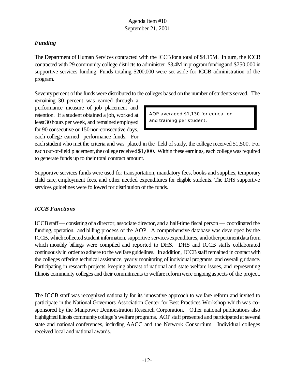# *Funding*

The Department of Human Services contracted with the ICCB for a total of \$4.15M. In turn, the ICCB contracted with 29 community college districts to administer \$3.4M in programfunding and \$750,000 in supportive services funding. Funds totaling \$200,000 were set aside for ICCB administration of the program.

Seventy percent of the funds were distributed to the colleges based on the number of students served. The

remaining 30 percent was earned through a performance measure of job placement and retention. If a student obtained a job, worked at least30hours per week, and remainedemployed for 90 consecutive or 150non-consecutive days, each college earned performance funds. For

AOP averaged \$1,130 for education and training per student.

each student who met the criteria and was placed in the field of study, the college received \$1,500. For each out-of-field placement, the college received \$1,000. Within these earnings, each college was required to generate funds up to their total contract amount.

Supportive services funds were used for transportation, mandatory fees, books and supplies, temporary child care, employment fees, and other needed expenditures for eligible students. The DHS supportive services guidelines were followed for distribution of the funds.

# *ICCB Functions*

ICCBstaff— consisting of a director, associate director, and a half-time fiscal person — coordinated the funding, operation, and billing process of the AOP. A comprehensive database was developed by the ICCB, which collected student information, supportive services expenditures, and other pertinent data from which monthly billings were compiled and reported to DHS. DHS and ICCB staffs collaborated continuously in order to adhere to the welfare guidelines. In addition, ICCB staff remained in contact with the colleges offering technical assistance, yearly monitoring of individual programs, and overall guidance. Participating in research projects, keeping abreast of national and state welfare issues, and representing Illinois community colleges and their commitments towelfare reformwere ongoing aspects of the project.

The ICCB staff was recognized nationally for its innovative approach to welfare reform and invited to participate in the National Governors Association Center for Best Practices Workshop which was cosponsored by the Manpower Demonstration Research Corporation. Other national publications also highlighted Illinois community college's welfare programs. AOP staff presented and participated at several state and national conferences, including AACC and the Network Consortium. Individual colleges received local and national awards.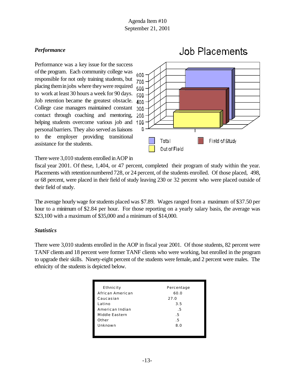# *Performance*

Performance was a key issue for the success of the program. Each community college was responsible for not only training students, but placing theminjobs where theywere required to work at least 30 hours a week for 90 days. Job retention became the greatest obstacle. College case managers maintained constant contact through coaching and mentoring, helping students overcome various job and 1 pp personal barriers. They also served as liaisons to the employer providing transitional assistance for the students.



#### There were 3,010 students enrolled in AOP in

fiscal year 2001. Of these, 1,404, or 47 percent, completed their program of study within the year. Placements with retention numbered 728, or 24 percent, of the students enrolled. Of those placed, 498, or 68 percent, were placed in their field of study leaving 230 or 32 percent who were placed outside of their field of study.

The average hourly wage for students placed was \$7.89. Wages ranged from a maximum of \$37.50 per hour to a minimum of \$2.84 per hour. For those reporting on a yearly salary basis, the average was \$23,100 with a maximum of \$35,000 and a minimum of \$14,000.

## *Statistics*

There were 3,010 students enrolled in the AOP in fiscal year 2001. Of those students, 82 percent were TANF clients and 18 percent were former TANF clients who were working, but enrolled in the program to upgrade their skills. Ninety-eight percent of the students were female, and 2 percent were males. The ethnicity of the students is depicted below.

| Ethnicity        | Percentage |
|------------------|------------|
| African American | 60.0       |
| Caucasian        | 27.0       |
| Latino           | 3.5        |
| American Indian  | .5         |
| Middle Eastern   | .5         |
| Other            | .5         |
| Unknown          | 8.0        |
|                  |            |
|                  |            |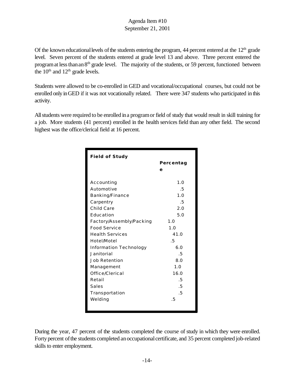Of the known educational levels of the students entering the program, 44 percent entered at the  $12<sup>th</sup>$  grade level. Seven percent of the students entered at grade level 13 and above. Three percent entered the program at less than an 8<sup>th</sup> grade level. The majority of the students, or 59 percent, functioned between the  $10<sup>th</sup>$  and  $12<sup>th</sup>$  grade levels.

Students were allowed to be co-enrolled in GED and vocational/occupational courses, but could not be enrolled only inGED if it was not vocationally related. There were 347 students who participated in this activity.

Allstudents were required to be enrolled ina programor field of study that would result in skill training for a job. More students (41 percent) enrolled in the health services field than any other field. The second highest was the office/clerical field at 16 percent.

| <b>Field of Study</b>         |           |
|-------------------------------|-----------|
|                               | Percentag |
|                               | е         |
|                               |           |
| Accounting                    | 1.0       |
| Automotive                    | .5        |
| Banking/Finance               | 1.0       |
| Carpentry                     | .5        |
| Child Care                    | 2.0       |
| Education                     | 5.0       |
| Factory/Assembly/Packing      | 1.0       |
| <b>Food Service</b>           | 1.0       |
| <b>Health Services</b>        | 41.0      |
| Hotel/Motel                   | .5        |
| <b>Information Technology</b> | 6.0       |
| Janitorial                    | .5        |
| <b>Job Retention</b>          | 8.0       |
| Management                    | 1.0       |
| Office/Clerical               | 16.0      |
| Retail                        | .5        |
| Sales                         | .5        |
| Transportation                | .5        |
| Welding                       | .5        |
|                               |           |

During the year, 47 percent of the students completed the course of study in which they were enrolled. Forty percent of the students completed an occupational certificate, and 35 percent completed job-related skills to enter employment.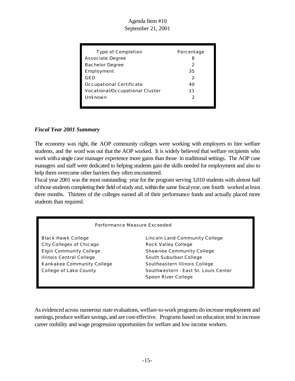| Type of Completion              | Percentage |
|---------------------------------|------------|
| Associate Degree                | 8          |
| <b>Bachelor Degree</b>          | 2          |
| Employment                      | 35         |
| GED                             | 2          |
| Occupational Certificate        | 40         |
| Vocational/Occupational Cluster | 11         |
| Unknown                         | 2          |
|                                 |            |

## *Fiscal Year 2001 Summary*

The economy was right, the AOP community colleges were working with employers to hire welfare students, and the word was out that the AOP worked. It is widely believed that welfare recipients who work witha single case manager experience more gains than those in traditional settings. The AOP case managers and staff were dedicated to helping students gain the skills needed for employment and also to help them overcome other barriers they often encountered.

Fiscal year 2001 was the most outstanding year for the program serving 3,010 students with almost half of those students completing their field of study and, within the same fiscal year, one fourth worked at least three months. Thirteen of the colleges earned all of their performance funds and actually placed more students than required.

#### Performance Measure Exceeded

City Colleges of Chicago Rock Valley College Elgin Community College Shawnee Community College Illinois Central College South Suburban College Kankakee Community College Southeastern Illinois College

Black Hawk College **Lincoln Land Community College** College of Lake County **Southwestern** - East St. Louis Center Spoon River College

As evidenced across numerous state evaluations, welfare-to-work programs do increase employment and earnings, produce welfare savings, and are cost-effective. Programs based on education tend to increase career mobility and wage progression opportunities for welfare and low income workers.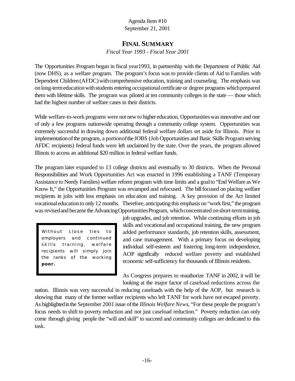# **FINAL SUMMARY**

*Fiscal Year 1993 - Fiscal Year 2001*

The Opportunities Program began in fiscal year1993, in partnership with the Department of Public Aid (now DHS), as a welfare program. The program's focus was to provide clients of Aid to Families with Dependent Children (AFDC) with comprehensive education, training and counseling. The emphasis was on long-term education with students entering occupational certificate or degree programs which prepared them with lifetime skills. The program was piloted at ten community colleges in the state — those which had the highest number of welfare cases in their districts.

While welfare-to-work programs were not new to higher education, Opportunities was innovative and one of only a few programs nationwide operating through a community college system. Opportunities was extremely successful in drawing down additional federal welfare dollars set aside for Illinois. Prior to implementationofthe program, a portionofthe JOBS (Job Opportunities and Basic Skills Programserving AFDC recipients) federal funds were left unclaimed by the state. Over the years, the program allowed Illinois to access an additional \$20 million in federal welfare funds.

The program later expanded to 13 college districts and eventually to 30 districts. When the Personal Responsibilities and Work Opportunities Act was enacted in 1996 establishing a TANF (Temporary Assistance to Needy Families) welfare reform program with time limits and a goalto "End Welfare as We Know It," the Opportunities Program was revamped and refocused. The bill focused on placing welfare recipients in jobs with less emphasis on education and training. A key provision of the Act limited vocationaleducationto only 12 months. Therefore, anticipating this emphasis on "work first," the program was revised and became the Advancing Opportunities Program, which concentrated on short-term training,

Without close ties to employers and continued skills training, welfare recipients will simply join the ranks of the working **poor.**

job upgrades, and job retention. While continuing efforts in job skills and vocational and occupational training, the new program added performance standards, job retention skills, assessment, and case management. With a primary focus on developing individual self-esteem and fostering long-term independence, AOP significally reduced welfare poverty and established economic self-sufficiency for thousands of Illinois residents.

As Congress prepares to reauthorize TANF in 2002, it will be looking at the major factor of caseload reductions across the

nation. Illinois was very successful in reducing caseloads with the help of the AOP, but research is showing that many of the former welfare recipients who left TANF for work have not escaped poverty. As highlightedinthe September 2001 issue ofthe *Illinois Welfare News*, "For these people the program's focus needs to shift to poverty reduction and not just caseload reduction." Poverty reduction can only come through giving people the "will and skill" to succeed and community colleges are dedicated to this task.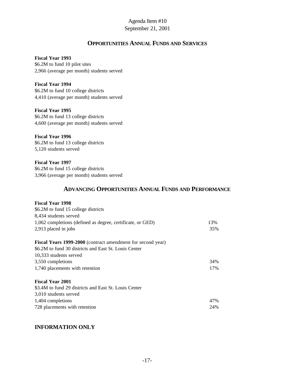# **OPPORTUNITIES ANNUAL FUNDS AND SERVICES**

#### **Fiscal Year 1993**

\$6.2M to fund 10 pilot sites 2,966 (average per month) students served

**Fiscal Year 1994** \$6.2M to fund 10 college districts 4,410 (average per month) students served

**Fiscal Year 1995**  \$6.2M to fund 13 college districts 4,600 (average per month) students served

**Fiscal Year 1996** \$6.2M to fund 13 college districts 5,120 students served

**Fiscal Year 1997** \$6.2M to fund 15 college districts 3,966 (average per month) students served

# **ADVANCING OPPORTUNITIES ANNUAL FUNDS AND PERFORMANCE**

#### **Fiscal Year 1998**

| \$6.2M to fund 15 college districts                         |     |
|-------------------------------------------------------------|-----|
| 8,434 students served                                       |     |
| 1,062 completions (defined as degree, certificate, or GED)  | 13% |
| 2,913 placed in jobs                                        | 35% |
| Fiscal Years 1999-2000 (contract amendment for second year) |     |
| \$6.2M to fund 30 districts and East St. Louis Center       |     |
| 10,333 students served                                      |     |
| 3,550 completions                                           | 34% |
| 1,740 placements with retention                             | 17% |
| <b>Fiscal Year 2001</b>                                     |     |
| \$3.4M to fund 29 districts and East St. Louis Center       |     |
| 3,010 students served                                       |     |
| 1,404 completions                                           | 47% |
| 728 placements with retention                               | 24% |

## **INFORMATION ONLY**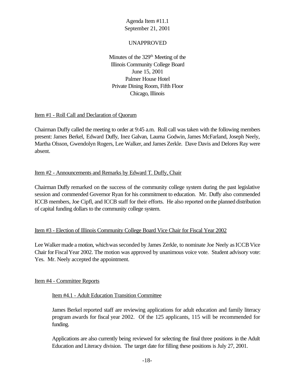## UNAPPROVED

Minutes of the  $329<sup>th</sup>$  Meeting of the Illinois Community College Board June 15, 2001 Palmer House Hotel Private Dining Room, Fifth Floor Chicago, Illinois

#### Item #1 - Roll Call and Declaration of Quorum

Chairman Duffy called the meeting to order at 9:45 a.m. Roll call was taken with the following members present: James Berkel, Edward Duffy, Inez Galvan, Laurna Godwin, James McFarland, Joseph Neely, Martha Olsson, Gwendolyn Rogers, Lee Walker, and James Zerkle. Dave Davis and Delores Ray were absent.

#### Item #2 - Announcements and Remarks by Edward T. Duffy, Chair

Chairman Duffy remarked on the success of the community college system during the past legislative session and commended Governor Ryan for his commitment to education. Mr. Duffy also commended ICCB members, Joe Cipfl, and ICCB staff for their efforts. He also reported onthe planned distribution of capital funding dollars to the community college system.

#### Item #3 - Election of Illinois Community College Board Vice Chair for Fiscal Year 2002

Lee Walker made a motion, which was seconded by James Zerkle, to nominate Joe Neely as ICCB Vice Chair for FiscalYear 2002. The motion was approved by unanimous voice vote. Student advisory vote: Yes. Mr. Neely accepted the appointment.

#### Item #4 - Committee Reports

#### Item #4.1 - Adult Education Transition Committee

James Berkel reported staff are reviewing applications for adult education and family literacy program awards for fiscal year 2002. Of the 125 applicants, 115 will be recommended for funding.

Applications are also currently being reviewed for selecting the final three positions in the Adult Education and Literacy division. The target date for filling these positions is July 27, 2001.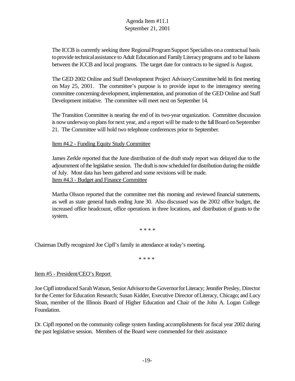The ICCB is currently seeking three Regional Program Support Specialists on a contractual basis to provide technical assistance to Adult Education and Family Literacy programs and to be liaisons between the ICCB and local programs. The target date for contracts to be signed is August.

The GED 2002 Online and Staff Development Project AdvisoryCommittee held its first meeting on May 25, 2001. The committee's purpose is to provide input to the interagency steering committee concerning development, implementation, and promotion of the GED Online and Staff Development initiative. The committee will meet next on September 14.

The Transition Committee is nearing the end of its two-year organization. Committee discussion is now underway on plans for next year, and a report will be made to the full Board on September 21. The Committee will hold two telephone conferences prior to September.

Item #4.2 - Funding Equity Study Committee

James Zerkle reported that the June distribution of the draft study report was delayed due to the adjournment ofthe legislative session. The draft is now scheduled for distribution during the middle of July. Most data has been gathered and some revisions will be made. Item #4.3 - Budget and Finance Committee

Martha Olsson reported that the committee met this morning and reviewed financial statements, as well as state general funds ending June 30. Also discussed was the 2002 office budget, the increased office headcount, office operations in three locations, and distribution of grants to the system.

\* \* \* \*

Chairman Duffy recognized Joe Cipfl's family in attendance at today's meeting.

\* \* \* \*

#### Item #5 - President/CEO's Report

Joe Cipfl introduced Sarah Watson, Senior Advisor to the Governor for Literacy; Jennifer Presley, Director forthe Center for Education Research; Susan Kidder, Executive Director ofLiteracy, Chicago; and Lucy Sloan, member of the Illinois Board of Higher Education and Chair of the John A. Logan College Foundation.

Dr. Cipfl reported on the community college system funding accomplishments for fiscal year 2002 during the past legislative session. Members of the Board were commended for their assistance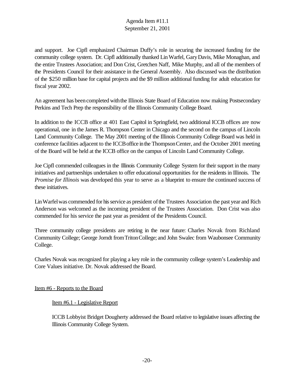and support. Joe Cipfl emphasized Chairman Duffy's role in securing the increased funding for the community college system. Dr. Cipfl additionally thanked LinWarfel, GaryDavis, Mike Monaghan, and the entire Trustees Association; and Don Crist, Gretchen Naff, Mike Murphy, and all of the members of the Presidents Council for their assistance in the General Assembly. Also discussed was the distribution of the \$250 million base for capital projects and the \$9 million additional funding for adult education for fiscal year 2002.

An agreement has been completed with the Illinois State Board of Education now making Postsecondary Perkins and Tech Prep the responsibility of the Illinois Community College Board.

In addition to the ICCB office at 401 East Capitol in Springfield, two additional ICCB offices are now operational, one in the James R. Thompson Center in Chicago and the second on the campus of Lincoln Land Community College. The May 2001 meeting of the Illinois Community College Board was held in conference facilities adjacent to the ICCBoffice inthe ThompsonCenter, and the October 2001 meeting of the Board will be held at the ICCB office on the campus of Lincoln Land Community College.

Joe Cipfl commended colleagues in the Illinois Community College System for their support in the many initiatives and partnerships undertaken to offer educational opportunities for the residents in Illinois. The *Promise for Illinois* was developed this year to serve as a blueprint to ensure the continued success of these initiatives.

Lin Warfel was commended for his service as president of the Trustees Association the past year and Rich Anderson was welcomed as the incoming president of the Trustees Association. Don Crist was also commended for his service the past year as president of the Presidents Council.

Three community college presidents are retiring in the near future: Charles Novak from Richland Community College; George Jorndt fromTritonCollege; and John Swalec from Waubonsee Community College.

Charles Novak was recognized for playing a key role in the community college system's Leadership and Core Values initiative. Dr. Novak addressed the Board.

Item #6 - Reports to the Board

Item #6.1 - Legislative Report

ICCB Lobbyist Bridget Dougherty addressed the Board relative to legislative issues affecting the Illinois Community College System.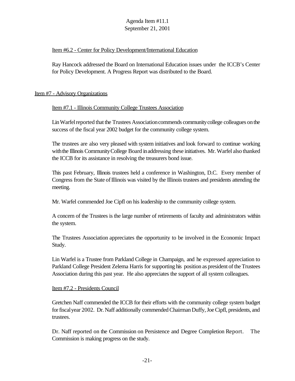## Item #6.2 - Center for Policy Development/International Education

Ray Hancock addressed the Board on International Education issues under the ICCB's Center for Policy Development. A Progress Report was distributed to the Board.

## Item #7 - Advisory Organizations

## Item #7.1 - Illinois Community College Trustees Association

Lin Warfel reported that the Trustees Association commends community college colleagues on the success of the fiscal year 2002 budget for the community college system.

The trustees are also very pleased with system initiatives and look forward to continue working with the Illinois Community College Board in addressing these initiatives. Mr. Warfel also thanked the ICCB for its assistance in resolving the treasurers bond issue.

This past February, Illinois trustees held a conference in Washington, D.C. Every member of Congress from the State of Illinois was visited by the Illinois trustees and presidents attending the meeting.

Mr. Warfel commended Joe Cipfl on his leadership to the community college system.

A concern of the Trustees is the large number of retirements of faculty and administrators within the system.

The Trustees Association appreciates the opportunity to be involved in the Economic Impact Study.

Lin Warfel is a Trustee from Parkland College in Champaign, and he expressed appreciation to Parkland College President Zelema Harris for supporting his position as president of the Trustees Association during this past year. He also appreciates the support of all system colleagues.

#### Item #7.2 - Presidents Council

Gretchen Naff commended the ICCB for their efforts with the community college system budget forfiscalyear 2002. Dr. Naff additionally commended Chairman Duffy, Joe Cipfl, presidents, and trustees.

Dr. Naff reported on the Commission on Persistence and Degree Completion Report. The Commission is making progress on the study.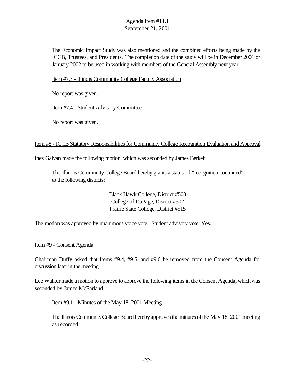The Economic Impact Study was also mentioned and the combined efforts being made by the ICCB, Trustees, and Presidents. The completion date of the study will be in December 2001 or January 2002 to be used in working with members of the General Assembly next year.

Item #7.3 - Illinois Community College Faculty Association

No report was given.

Item #7.4 - Student Advisory Committee

No report was given.

#### Item #8 - ICCB Statutory Responsibilities for Community College Recognition Evaluation and Approval

Inez Galvan made the following motion, which was seconded by James Berkel:

The Illinois Community College Board hereby grants a status of "recognition continued" to the following districts:

> Black Hawk College, District #503 College of DuPage, District #502 Prairie State College, District #515

The motion was approved by unanimous voice vote. Student advisory vote: Yes.

Item #9 - Consent Agenda

Chairman Duffy asked that Items #9.4, #9.5, and #9.6 be removed from the Consent Agenda for discussion later in the meeting.

Lee Walker made a motion to approve to approve the following items in the Consent Agenda, which was seconded by James McFarland.

Item #9.1 - Minutes of the May 18, 2001 Meeting

The Illinois Community College Board hereby approves the minutes of the May 18, 2001 meeting as recorded.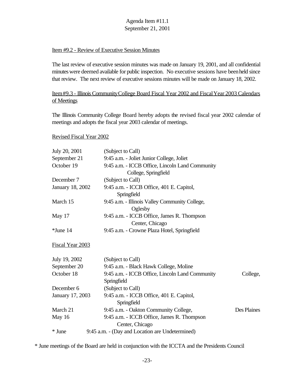## Item #9.2 - Review of Executive Session Minutes

The last review of executive session minutes was made on January 19, 2001, and all confidential minutes were deemed available for public inspection. No executive sessions have been held since that review. The next review of executive sessions minutes will be made on January 18, 2002.

## Item#9.3 - Illinois CommunityCollege Board Fiscal Year 2002 and FiscalYear 2003 Calendars of Meetings

The Illinois Community College Board hereby adopts the revised fiscal year 2002 calendar of meetings and adopts the fiscal year 2003 calendar of meetings.

Revised Fiscal Year 2002

| July 20, 2001    | (Subject to Call)                                              |             |
|------------------|----------------------------------------------------------------|-------------|
| September 21     | 9:45 a.m. - Joliet Junior College, Joliet                      |             |
| October 19       | 9:45 a.m. - ICCB Office, Lincoln Land Community                |             |
|                  | College, Springfield                                           |             |
| December 7       | (Subject to Call)                                              |             |
| January 18, 2002 | 9:45 a.m. - ICCB Office, 401 E. Capitol,<br>Springfield        |             |
| March 15         | 9:45 a.m. - Illinois Valley Community College,                 |             |
| May 17           | Oglesby<br>9:45 a.m. - ICCB Office, James R. Thompson          |             |
|                  | Center, Chicago                                                |             |
| *June 14         | 9:45 a.m. - Crowne Plaza Hotel, Springfield                    |             |
| Fiscal Year 2003 |                                                                |             |
| July 19, 2002    | (Subject to Call)                                              |             |
| September 20     | 9:45 a.m. - Black Hawk College, Moline                         |             |
| October 18       | 9:45 a.m. - ICCB Office, Lincoln Land Community<br>Springfield | College,    |
| December 6       | (Subject to Call)                                              |             |
| January 17, 2003 | 9:45 a.m. - ICCB Office, 401 E. Capitol,<br>Springfield        |             |
| March 21         | 9:45 a.m. - Oakton Community College,                          | Des Plaines |
| May 16           | 9:45 a.m. - ICCB Office, James R. Thompson<br>Center, Chicago  |             |
| * June           | 9:45 a.m. - (Day and Location are Undetermined)                |             |

\* June meetings of the Board are held in conjunction with the ICCTA and the Presidents Council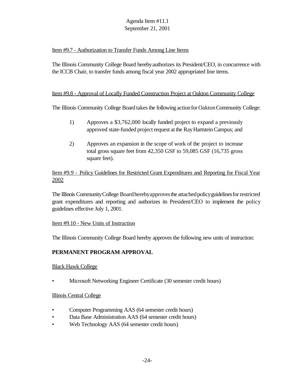## Item #9.7 - Authorization to Transfer Funds Among Line Items

The Illinois Community College Board herebyauthorizes its President/CEO, in concurrence with the ICCB Chair, to transfer funds among fiscal year 2002 appropriated line items.

## Item #9.8 - Approval of Locally Funded Construction Project at Oakton Community College

The Illinois Community College Board takes the following action for Oakton Community College:

- 1) Approves a \$3,762,000 locally funded project to expand a previously approved state-funded project request at the RayHartsteinCampus; and
- 2) Approves an expansion in the scope of work of the project to increase total gross square feet from 42,350 GSF to 59,085 GSF (16,735 gross square feet).

## Item #9.9 - Policy Guidelines for Restricted Grant Expenditures and Reporting for Fiscal Year 2002

The Illinois Community College Board hereby approves the attached policy guidelines for restricted grant expenditures and reporting and authorizes its President/CEO to implement the policy guidelines effective July 1, 2001.

#### Item #9.10 - New Units of Instruction

The Illinois Community College Board hereby approves the following new units of instruction:

## **PERMANENT PROGRAM APPROVAL**

#### Black Hawk College

• Microsoft Networking Engineer Certificate (30 semester credit hours)

#### Illinois Central College

- Computer Programming AAS (64 semester credit hours)
- Data Base Administration AAS (64 semester credit hours)
- Web Technology AAS (64 semester credit hours)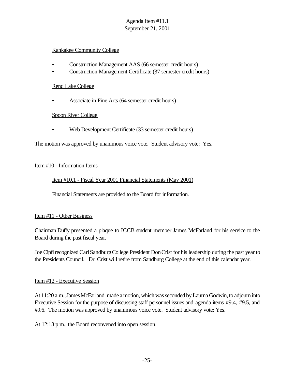## Kankakee Community College

- Construction Management AAS (66 semester credit hours)
- Construction Management Certificate (37 semester credit hours)

#### Rend Lake College

• Associate in Fine Arts (64 semester credit hours)

## Spoon River College

• Web Development Certificate (33 semester credit hours)

The motion was approved by unanimous voice vote. Student advisory vote: Yes.

## Item #10 - Information Items

Item #10.1 - Fiscal Year 2001 Financial Statements (May 2001)

Financial Statements are provided to the Board for information.

## Item #11 - Other Business

Chairman Duffy presented a plaque to ICCB student member James McFarland for his service to the Board during the past fiscal year.

Joe CipflrecognizedCarlSandburgCollege President DonCrist for his leadership during the past year to the Presidents Council. Dr. Crist will retire from Sandburg College at the end of this calendar year.

## Item #12 - Executive Session

At 11:20 a.m.,JamesMcFarland made a motion, which was seconded by Laurna Godwin, to adjourn into Executive Session for the purpose of discussing staff personnel issues and agenda items #9.4, #9.5, and #9.6. The motion was approved by unanimous voice vote. Student advisory vote: Yes.

At 12:13 p.m., the Board reconvened into open session.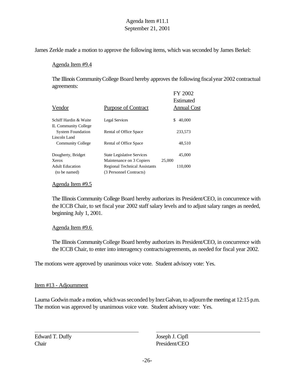James Zerkle made a motion to approve the following items, which was seconded by James Berkel:

#### Agenda Item #9.4

The Illinois CommunityCollege Board hereby approves the following fiscalyear 2002 contractual agreements:  $E(Y \cap \Omega)$ 

| Vendor                      | <b>Purpose of Contract</b>           | FY ZUUZ<br>Estimated<br><b>Annual Cost</b> |
|-----------------------------|--------------------------------------|--------------------------------------------|
| Schiff Hardin & Waite       | <b>Legal Services</b>                | \$<br>40,000                               |
| <b>IL Community College</b> |                                      |                                            |
| <b>System Foundation</b>    | Rental of Office Space               | 233,573                                    |
| Lincoln Land                |                                      |                                            |
| <b>Community College</b>    | Rental of Office Space               | 48,510                                     |
| Dougherty, Bridget          | <b>State Legislative Services</b>    | 45,000                                     |
| Xerox                       | Maintenance on 3 Copiers             | 25,000                                     |
| <b>Adult Education</b>      | <b>Regional Technical Assistants</b> | 110,000                                    |
| (to be named)               | (3 Personnel Contracts)              |                                            |

#### Agenda Item #9.5

The Illinois Community College Board hereby authorizes its President/CEO, in concurrence with the ICCB Chair, to set fiscal year 2002 staff salary levels and to adjust salary ranges as needed, beginning July 1, 2001.

## Agenda Item #9.6

The Illinois CommunityCollege Board hereby authorizes its President/CEO, in concurrence with the ICCB Chair, to enter into interagency contracts/agreements, as needed for fiscal year 2002.

The motions were approved by unanimous voice vote. Student advisory vote: Yes.

## Item #13 - Adjournment

Laurna Godwin made a motion, which was seconded by Inez Galvan, to adjourn the meeting at 12:15 p.m. The motion was approved by unanimous voice vote. Student advisory vote: Yes.

Edward T. Duffy Joseph J. Cipfl Chair President/CEO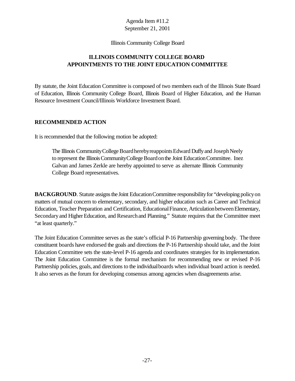#### Illinois Community College Board

# **ILLINOIS COMMUNITY COLLEGE BOARD APPOINTMENTS TO THE JOINT EDUCATION COMMITTEE**

By statute, the Joint Education Committee is composed of two members each of the Illinois State Board of Education, Illinois Community College Board, Illinois Board of Higher Education, and the Human Resource Investment Council/Illinois Workforce Investment Board.

#### **RECOMMENDED ACTION**

It is recommended that the following motion be adopted:

The Illinois Community College Board hereby reappoints Edward Duffy and Joseph Neely to represent the Illinois Community College Board on the Joint Education Committee. Inez Galvan and James Zerkle are hereby appointed to serve as alternate Illinois Community College Board representatives.

**BACKGROUND**. Statute assigns the Joint Education Committee responsibility for "developing policy on matters of mutual concern to elementary, secondary, and higher education such as Career and Technical Education, Teacher Preparation and Certification, Educational Finance, Articulation between Elementary, Secondary and Higher Education, and Research and Planning." Statute requires that the Committee meet "at least quarterly."

The Joint Education Committee serves as the state's official P-16 Partnership governing body. The three constituent boards have endorsed the goals and directions the P-16 Partnership should take, and the Joint Education Committee sets the state-level P-16 agenda and coordinates strategies for its implementation. The Joint Education Committee is the formal mechanism for recommending new or revised P-16 Partnership policies, goals, and directions to the individual boards when individual board action is needed. It also serves as the forum for developing consensus among agencies when disagreements arise.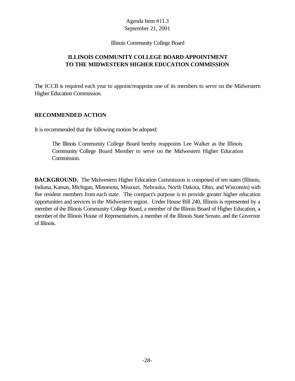#### Illinois Community College Board

# **ILLINOIS COMMUNITY COLLEGE BOARD APPOINTMENT TO THE MIDWESTERN HIGHER EDUCATION COMMISSION**

The ICCB is required each year to appoint/reappoint one of its members to serve on the Midwestern Higher Education Commission.

#### **RECOMMENDED ACTION**

It is recommended that the following motion be adopted:

The Illinois Community College Board hereby reappoints Lee Walker as the Illinois Community College Board Member to serve on the Midwestern Higher Education Commission.

**BACKGROUND.** The Midwestern Higher Education Commission is composed of ten states (Illinois, Indiana, Kansas, Michigan, Minnesota, Missouri, Nebraska, North Dakota, Ohio, and Wisconsin) with five resident members from each state. The compact's purpose is to provide greater higher education opportunities and services in the Midwestern region. Under House Bill 240, Illinois is represented by a member of the Illinois Community College Board, a member of the Illinois Board of Higher Education, a member of the Illinois House of Representatives, a member of the Illinois State Senate, and the Governor of Illinois.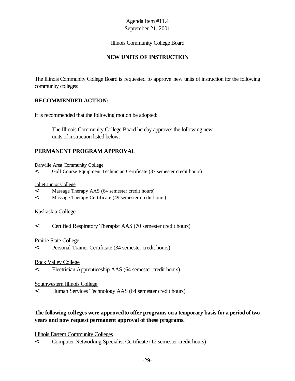## Illinois Community College Board

# **NEW UNITS OF INSTRUCTION**

The Illinois Community College Board is requested to approve new units of instruction for the following community colleges:

## **RECOMMENDED ACTION:**

It is recommended that the following motion be adopted:

The Illinois Community College Board hereby approves the following new units of instruction listed below:

## **PERMANENT PROGRAM APPROVAL**

Danville Area Community College

< Golf Course Equipment Technician Certificate (37 semester credit hours)

#### Joliet Junior College

- < Massage Therapy AAS (64 semester credit hours)
- < Massage Therapy Certificate (49 semester credit hours)

#### Kaskaskia College

< Certified Respiratory Therapist AAS (70 semester credit hours)

#### Prairie State College

< Personal Trainer Certificate (34 semester credit hours)

#### Rock Valley College

< Electrician Apprenticeship AAS (64 semester credit hours)

#### Southwestern Illinois College

< Human Services Technology AAS (64 semester credit hours)

## **The following colleges were approvedto offer programs ona temporary basis fora periodof two years and now request permanent approval of these programs.**

#### Illinois Eastern Community Colleges

< Computer Networking Specialist Certificate (12 semester credit hours)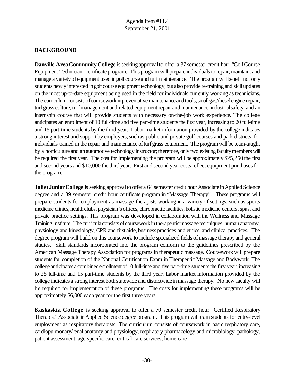# **BACKGROUND**

**Danville Area Community College** is seeking approval to offer a 37 semester credit hour "Golf Course" Equipment Technician" certificate program. This program will prepare individuals to repair, maintain, and manage a variety of equipment used in golf course and turf maintenance. The program will benefit not only students newly interested in golf course equipment technology, but also provide re-training and skill updates on the most up-to-date equipment being used in the field for individuals currently working as technicians. The curriculum consists of coursework in preventative maintenance and tools, small gas/diesel engine repair, turf grass culture, turf management and related equipment repair and maintenance, industrial safety, and an internship course that will provide students with necessary on-the-job work experience. The college anticipates an enrollment of 10 full-time and five part-time students the first year, increasing to 20 full-time and 15 part-time students by the third year. Labor market information provided by the college indicates a strong interest and support by employers, such as public and private golf courses and park districts, for individuals trained in the repair and maintenance of turf grass equipment. The program will be team-taught by a horticulture and anautomotive technology instructor; therefore, only two existing facultymembers will be required the first year. The cost for implementing the program will be approximately \$25,250 the first and second years and \$10,000 the third year. First and second year costs reflect equipment purchases for the program.

**Joliet Junior College** is seeking approval to offer a 64 semester credit hour Associate in Applied Science degree and a 39 semester credit hour certificate program in "Massage Therapy". These programs will prepare students for employment as massage therapists working in a variety of settings, such as sports medicine clinics, health clubs, physician's offices, chiropractic facilities, holistic medicine centers, spas, and private practice settings. This program was developed in collaboration with the Wellness and Massage Training Institute. The curricula consists of coursework in therapeutic massage techniques, human anatomy, physiology and kinesiology, CPR and first aide, business practices and ethics, and clinical practices. The degree program will build on this coursework to include specialized fields of massage therapy and general studies. Skill standards incorporated into the program conform to the guidelines prescribed by the American Massage Therapy Association for programs in therapeutic massage. Coursework will prepare students for completion of the National Certification Exam in Therapeutic Massage and Bodywork. The college anticipates a combined enrollment of 10 full-time and five part-time students the first year, increasing to 25 full-time and 15 part-time students by the third year. Labor market information provided by the college indicates a strong interest both statewide and districtwide in massage therapy. No new faculty will be required for implementation of these programs. The costs for implementing these programs will be approximately \$6,000 each year for the first three years.

**Kaskaskia College** is seeking approval to offer a 70 semester credit hour "Certified Respiratory Therapist"Associate inApplied Science degree program. This program will train students for entry-level employment as respiratory therapists The curriculum consists of coursework in basic respiratory care, cardiopulmonary/renal anatomy and physiology, respiratory pharmacology and microbiology, pathology, patient assessment, age-specific care, critical care services, home care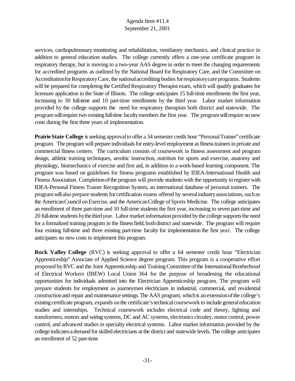services, cardiopulmonary monitoring and rehabilitation, ventilatory mechanics, and clinical practice in addition to general education studies. The college currently offers a one-year certificate program in respiratory therapy, but is moving to a two-year AAS degree in order to meet the changing requirements for accredited programs as outlined by the National Board for Respiratory Care, and the Committee on Accreditation for Respiratory Care, the national accrediting bodies for respiratory care programs. Students will be prepared for completing the Certified Respiratory Therapist exam, which will qualify graduates for licensure application in the State of Illinois. The college anticipates 15 full-time enrollments the first year, increasing to 30 full-time and 10 part-time enrollments by the third year. Labor market information provided by the college supports the need for respiratory therapists both district and statewide. The program will require two existing full-time faculty members the first year. The program will require no new costs during the first three years of implementation.

**Prairie State College** is seeking approval to offer a 34 semester credit hour "Personal Trainer" certificate program. The program will prepare individuals for entry-level employment as fitness trainers in private and commercial fitness centers. The curriculum consists of coursework in fitness assessment and program design, athletic training techniques, aerobic instruction, nutrition for sports and exercise, anatomy and physiology, biomechanics of exercise and first aid, in addition to a work-based learning component. The program was based on guidelines for fitness programs established by IDEA-International Health and Fitness Association. Completion of the program will provide students with the opportunity to register with IDEA-Personal Fitness Trainer Recognition System, an international database of personal trainers. The program will also prepare students for certification exams offered by several industry associations, such as the AmericanCouncil onExercise, and the AmericanCollege ofSports Medicine. The college anticipates an enrollment of three part-time and 10 full-time students the first year, increasing to seven part-time and 20 full-time students bythe thirdyear. Labor market information provided by the college supports the need for a formalized training program in the fitness field, both district and statewide. The program will require four existing full-time and three existing part-time faculty for implementation the first year. The college anticipates no new costs to implement this program.

**Rock Valley College** (RVC) is seeking approval to offer a 64 semester credit hour "Electrician Apprenticeship" Associate of Applied Science degree program. This program is a cooperative effort proposed by RVC and the Joint Apprenticeship and Training Committee of the International Brotherhood of Electrical Workers (IBEW) Local Union 364 for the purpose of broadening the educational opportunities for individuals admitted into the Electrician Apprenticeship program. The program will prepare students for employment as journeymen electricians in industrial, commercial, and residential constructionand repair and maintenance settings.The AAS program, whichis anextensionofthe college's existing certificate program, expands on the certificate's technical coursework to include general education studies and internships. Technical coursework includes electrical code and theory, lighting and transformers, motors and wiring systems, DC and AC systems, electronics circuitry, motor control, power control, and advanced studies in specialty electrical systems. Labor market information provided by the college indicates a demand for skilled electricians at the district and statewide levels. The college anticipates an enrollment of 52 part-time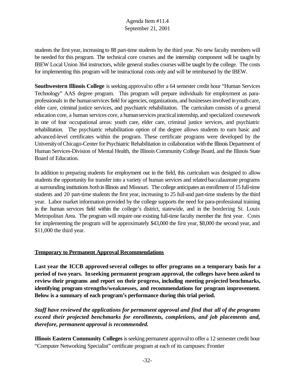students the first year, increasing to 88 part-time students by the third year. No new faculty members will be needed for this program. The technical core courses and the internship component will be taught by IBEW Local Union 364 instructors, while general studies courses willbe taught bythe college. The costs for implementing this program will be instructional costs only and will be reimbursed by the IBEW.

**Southwestern Illinois College** is seeking approval to offer a 64 semester credit hour "Human Services" Technology" AAS degree program. This program will prepare individuals for employment as paraprofessionals in the human services field for agencies, organizations, and businesses involved in youth care, elder care, criminal justice services, and psychiatric rehabilitation. The curriculum consists of a general education core, a human services core, a humanservices practicalinternship, and specialized coursework in one of four occupational areas: youth care, elder care, criminal justice services, and psychiatric rehabilitation. The psychiatric rehabilitation option of the degree allows students to earn basic and advanced-level certificates within the program. These certificate programs were developed by the UniversityofChicago-Center for Psychiatric Rehabilitation in collaboration withthe Illinois Department of Human Services-Division of Mental Health, the Illinois Community College Board, and the Illinois State Board of Education.

In addition to preparing students for employment out in the field, this curriculum was designed to allow students the opportunity for transfer into a variety of human services and related baccalaureate programs at surrounding institutions both in Illinois and Missouri. The college anticipates an enrollment of 15 full-time students and 20 part-time students the first year, increasing to 25 full-and part-time students by the third year. Labor market information provided by the college supports the need for para-professional training in the human services field within the college's district, statewide, and in the bordering St. Louis Metropolitan Area. The program will require one existing full-time faculty member the first year. Costs for implementing the program will be approximately \$43,000 the first year, \$8,000 the second year, and \$11,000 the third year.

## **Temporary to Permanent Approval Recommendations**

**Last year the ICCB approved several colleges to offer programs on a temporary basis for a period of two years. Inseeking permanent program approval, the colleges have been asked to review their programs and report on their progress, including meeting projected benchmarks, identifying program strengths/weaknesses, and recommendations for program improvement. Below is a summary of each program's performance during this trial period.**

*Staff have reviewed the applications for permanent approval and find that all of the programs exceed their projected benchmarks for enrollments, completions, and job placements and, therefore, permanent approval is recommended.*

**Illinois Eastern Community Colleges** is seeking permanent approval to offer a 12 semester credit hour "Computer Networking Specialist" certificate program at each of its campuses: Frontier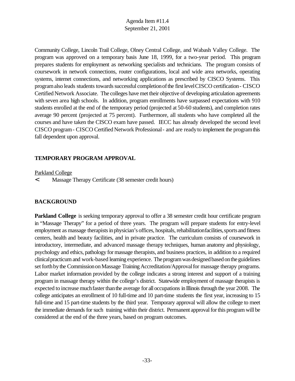Community College, Lincoln Trail College, Olney Central College, and Wabash Valley College. The program was approved on a temporary basis June 18, 1999, for a two-year period. This program prepares students for employment as networking specialists and technicians. The program consists of coursework in network connections, router configurations, local and wide area networks, operating systems, internet connections, and networking applications as prescribed by CISCO Systems. This program also leads students towards successful completion of the first level CISCO certification - CISCO Certified Network Associate. The colleges have met their objective of developing articulation agreements with seven area high schools. In addition, program enrollments have surpassed expectations with 910 students enrolled at the end of the temporary period (projected at 50-60 students), and completion rates average 90 percent (projected at 75 percent). Furthermore, all students who have completed all the courses and have taken the CISCO exam have passed. IECC has already developed the second level CISCO program- CISCO Certified Network Professional- and are readyto implement the programthis fall dependent upon approval.

# **TEMPORARY PROGRAM APPROVAL**

#### Parkland College

< Massage Therapy Certificate (38 semester credit hours)

## **BACKGROUND**

**Parkland College** is seeking temporary approval to offer a 38 semester credit hour certificate program in "Massage Therapy" for a period of three years. The program will prepare students for entry-level employment as massage therapists in physician's offices, hospitals, rehabilitationfacilities, sports and fitness centers, health and beauty facilities, and in private practice. The curriculum consists of coursework in introductory, intermediate, and advanced massage therapy techniques, human anatomy and physiology, psychology and ethics, pathology formassage therapists, and business practices, in addition to a required clinical practicum and work-based learning experience. The program was designed based on the guidelines set forth by the Commission on Massage Training Accreditation/Approval for massage therapy programs. Labor market information provided by the college indicates a strong interest and support of a training program in massage therapy within the college's district. Statewide employment of massage therapists is expected to increase much faster than the average for all occupations in Illinois through the year 2008. The college anticipates an enrollment of 10 full-time and 10 part-time students the first year, increasing to 15 full-time and 15 part-time students by the third year. Temporary approval will allow the college to meet the immediate demands for such training within their district. Permanent approval for this program will be considered at the end of the three years, based on program outcomes.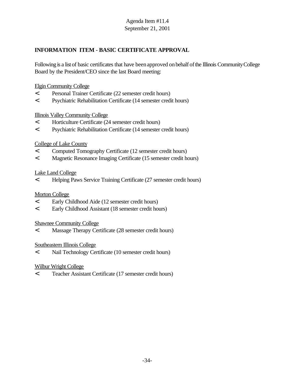# **INFORMATION ITEM - BASIC CERTIFICATE APPROVAL**

Following is a list of basic certificates that have been approved on behalf of the Illinois Community College Board by the President/CEO since the last Board meeting:

#### Elgin Community College

- < Personal Trainer Certificate (22 semester credit hours)
- < Psychiatric Rehabilitation Certificate (14 semester credit hours)

#### Illinois Valley Community College

- < Horticulture Certificate (24 semester credit hours)
- < Psychiatric Rehabilitation Certificate (14 semester credit hours)

#### College of Lake County

- < Computed Tomography Certificate (12 semester credit hours)
- < Magnetic Resonance Imaging Certificate (15 semester credit hours)

#### Lake Land College

< Helping Paws Service Training Certificate (27 semester credit hours)

## Morton College

- < Early Childhood Aide (12 semester credit hours)
- < Early Childhood Assistant (18 semester credit hours)

#### Shawnee Community College

< Massage Therapy Certificate (28 semester credit hours)

#### Southeastern Illinois College

< Nail Technology Certificate (10 semester credit hours)

#### Wilbur Wright College

< Teacher Assistant Certificate (17 semester credit hours)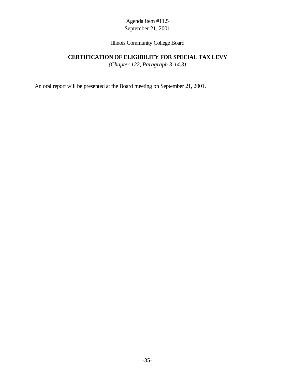## Illinois Community College Board

# **CERTIFICATION OF ELIGIBILITY FOR SPECIAL TAX LEVY**

*(Chapter 122, Paragraph 3-14.3)*

An oral report will be presented at the Board meeting on September 21, 2001.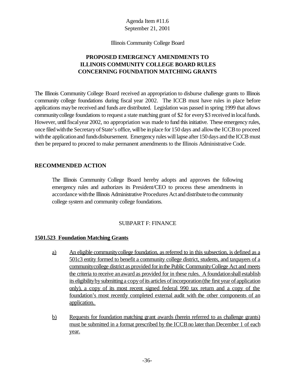Illinois Community College Board

# **PROPOSED EMERGENCY AMENDMENTS TO ILLINOIS COMMUNITY COLLEGE BOARD RULES CONCERNING FOUNDATION MATCHING GRANTS**

The Illinois Community College Board received an appropriation to disburse challenge grants to Illinois community college foundations during fiscal year 2002. The ICCB must have rules in place before applications maybe received and funds are distributed. Legislation was passed in spring 1999 that allows communitycollege foundations to request a state matching grant of \$2 for every\$3 received inlocalfunds. However, untilfiscalyear 2002, no appropriation was made to fund thisinitiative. These emergency rules, once filed with the Secretary of State's office, will be in place for 150 days and allow the ICCB to proceed with the application and funds disbursement. Emergency rules will lapse after 150 days and the ICCB must then be prepared to proceed to make permanent amendments to the Illinois Administrative Code.

## **RECOMMENDED ACTION**

The Illinois Community College Board hereby adopts and approves the following emergency rules and authorizes its President/CEO to process these amendments in accordance with the Illinois Administrative Procedures Act and distribute to the community college system and community college foundations.

## SUBPART F: FINANCE

## **1501.523 Foundation Matching Grants**

- a) An eligible community college foundation, as referred to in this subsection, is defined as a 501c3 entity formed to benefit a community college district, students, and taxpayers of a community college district as provided for in the Public Community College Act and meets the criteria to receive anaward as provided for in these rules. A foundationshall establish its eligibility by submitting a copy of its articles of incorporation (the first year of application only), a copy of its most recent signed federal 990 tax return and a copy of the foundation's most recently completed external audit with the other components of an application.
- b) Requests for foundation matching grant awards (herein referred to as challenge grants) must be submitted in a format prescribed by the ICCB no later than December 1 of each year.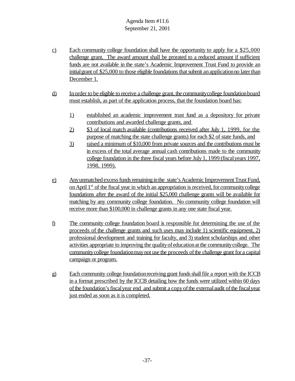- c) Each community college foundation shall have the opportunity to apply for a \$25,000 challenge grant. The award amount shall be prorated to a reduced amount if sufficient funds are not available in the state's Academic Improvement Trust Fund to provide an initial grant of \$25,000 to those eligible foundations that submit an application no later than December 1.
- d) Inorder to be eligible to receive a challenge grant, the communitycollege foundationboard must establish, as part of the application process, that the foundation board has:
	- 1) established an academic improvement trust fund as a depository for private contributions and awarded challenge grants, and
	- 2) \$3 of local match available (contributions received after July 1, 1999, for the purpose of matching the state challenge grants) for each \$2 of state funds, and
	- 3) raised a minimum of \$10,000 from private sources and the contributions must be in excess of the total average annual cash contributions made to the community college foundation in the three fiscal years before July 1, 1999 (fiscalyears 1997, 1998, 1999).
- e) Any unmatched excess funds remaining in the state's Academic Improvement Trust Fund, on April 1<sup>st</sup> of the fiscal year in which an appropriation is received, for community college foundations after the award of the initial \$25,000 challenge grants will be available for matching by any community college foundation. No community college foundation will receive more than \$100,000 in challenge grants in any one state fiscal year.
- f) The community college foundation board is responsible for determining the use of the proceeds of the challenge grants and such uses may include 1) scientific equipment, 2) professional development and training for faculty, and 3) student scholarships and other activities appropriate to improving the qualityof educationat the communitycollege. The communitycollege foundationmaynot use the proceeds ofthe challenge grant for a capital campaign or program.
- g) Each community college foundation receiving grant funds shall file a report with the ICCB in a format prescribed by the ICCB detailing how the funds were utilized within 60 days ofthe foundation'sfiscalyear end and submit a copyofthe externalaudit ofthe fiscalyear just ended as soon as it is completed.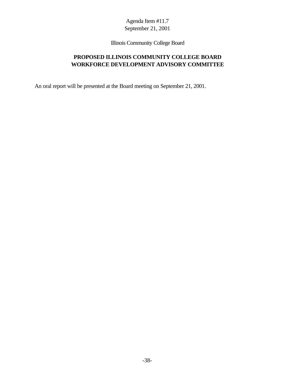Illinois Community College Board

# **PROPOSED ILLINOIS COMMUNITY COLLEGE BOARD WORKFORCE DEVELOPMENT ADVISORY COMMITTEE**

An oral report will be presented at the Board meeting on September 21, 2001.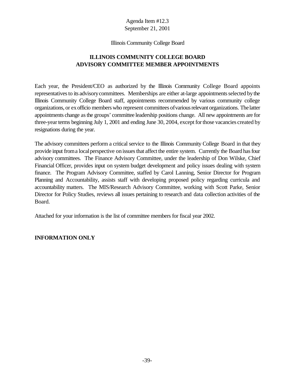#### Illinois Community College Board

# **ILLINOIS COMMUNITY COLLEGE BOARD ADVISORY COMMITTEE MEMBER APPOINTMENTS**

Each year, the President/CEO as authorized by the Illinois Community College Board appoints representatives to its advisory committees. Memberships are either at-large appointments selected by the Illinois Community College Board staff, appointments recommended by various community college organizations, or exofficio members who represent committees ofvariousrelevant organizations. The latter appointments change asthe groups' committee leadership positions change. All new appointments are for three-year terms beginning July 1, 2001 and ending June 30, 2004, except forthose vacancies created by resignations during the year.

The advisory committees perform a critical service to the Illinois Community College Board in that they provide input from a local perspective on issues that affect the entire system. Currently the Board has four advisory committees. The Finance Advisory Committee, under the leadership of Don Wilske, Chief Financial Officer, provides input on system budget development and policy issues dealing with system finance. The Program Advisory Committee, staffed by Carol Lanning, Senior Director for Program Planning and Accountability, assists staff with developing proposed policy regarding curricula and accountability matters. The MIS/Research Advisory Committee, working with Scott Parke, Senior Director for Policy Studies, reviews all issues pertaining to research and data collection activities of the Board.

Attached for your information is the list of committee members for fiscal year 2002.

## **INFORMATION ONLY**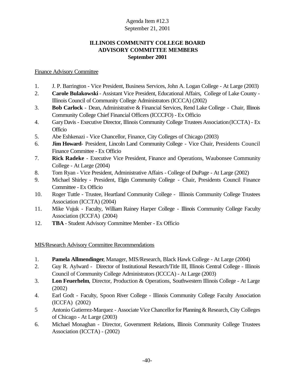# **ILLINOIS COMMUNITY COLLEGE BOARD ADVISORY COMMITTEE MEMBERS September 2001**

## Finance Advisory Committee

- 1. J. P. Barrington Vice President, Business Services, John A. Logan College At Large (2003)
- 2. **Carole Bulakowski** Assistant Vice President, Educational Affairs, College of Lake County Illinois Council of Community College Administrators (ICCCA) (2002)
- 3. **Bob Carlock** Dean, Administrative & Financial Services, Rend Lake College Chair, Illinois Community College Chief Financial Officers (ICCCFO) - Ex Officio
- 4. GaryDavis Executive Director, Illinois Community College Trustees Association(ICCTA) Ex **Officio**
- 5. Abe Eshkenazi Vice Chancellor, Finance, City Colleges of Chicago (2003)
- 6. **Jim Howard** President, Lincoln Land Community College Vice Chair, Presidents Council Finance Committee - Ex Officio
- 7. **Rick Radeke** Executive Vice President, Finance and Operations, Waubonsee Community College - At Large (2004)
- 8. Tom Ryan Vice President, Administrative Affairs College of DuPage At Large (2002)
- 9. Michael Shirley President, Elgin Community College Chair, Presidents Council Finance Committee - Ex Officio
- 10. Roger Tuttle Trustee, Heartland Community College Illinois Community College Trustees Association (ICCTA) (2004)
- 11. Mike Vujuk Faculty, William Rainey Harper College Illinois Community College Faculty Association (ICCFA) (2004)
- 12. **TBA** Student Advisory Committee Member Ex Officio

## MIS/Research Advisory Committee Recommendations

- 1. **Pamela Allmendinger**, Manager, MIS/Research, Black Hawk College At Large (2004)
- 2. Guy R. Aylward Director of Institutional Research/Title III, Illinois Central College Illinois Council of Community College Administrators (ICCCA) - At Large (2003)
- 3. **Lon Feuerhelm**, Director, Production & Operations, Southwestern Illinois College At Large (2002)
- 4. Earl Godt Faculty, Spoon River College Illinois Community College Faculty Association (ICCFA) (2002)
- 5 Antonio Gutierrez-Marquez Associate Vice Chancellor for Planning & Research, City Colleges of Chicago - At Large (2003)
- 6. Michael Monaghan Director, Government Relations, Illinois Community College Trustees Association (ICCTA) - (2002)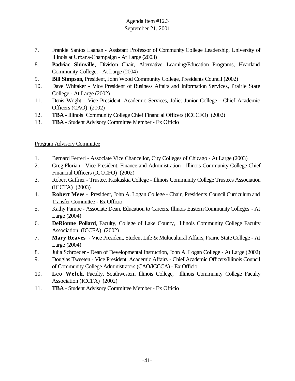- 7. Frankie Santos Laanan Assistant Professor of Community College Leadership, University of Illinois at Urbana-Champaign - At Large (2003)
- 8. **Padriac Shinville**, Division Chair, Alternative Learning/Education Programs, Heartland Community College, - At Large (2004)
- 9. **Bill Simpson**, President, John Wood Community College, Presidents Council (2002)
- 10. Dave Whitaker Vice President of Business Affairs and Information Services, Prairie State College - At Large (2002)
- 11. Denis Wright Vice President, Academic Services, Joliet Junior College Chief Academic Officers (CAO) (2002)
- 12. **TBA** Illinois Community College Chief Financial Officers (ICCCFO) (2002)
- 13. **TBA** Student Advisory Committee Member Ex Officio

## Program Advisory Committee

- 1. Bernard Ferreri Associate Vice Chancellor, City Colleges of Chicago At Large (2003)
- 2. Greg Florian Vice President, Finance and Administration Illinois Community College Chief Financial Officers (ICCCFO) (2002)
- 3. Robert Gaffner Trustee, Kaskaskia College Illinois Community College Trustees Association (ICCTA) (2003)
- 4. **Robert Mees** President, John A. Logan College Chair, Presidents Council Curriculum and Transfer Committee - Ex Officio
- 5. Kathy Pampe Associate Dean, Education to Careers, Illinois EasternCommunityColleges At Large (2004)
- 6. **DeRionne Pollard**, Faculty, College of Lake County, Illinois Community College Faculty Association (ICCFA) (2002)
- 7. **Mary Reaves** Vice President, Student Life & Multicultural Affairs, Prairie State College At Large (2004)
- 8. Julia Schroeder Dean of Developmental Instruction, John A. Logan College At Large (2002)
- 9. Douglas Tweeten Vice President, Academic Affairs Chief Academic Officers/Illinois Council of Community College Administrators (CAO/ICCCA) - Ex Officio
- 10. **Leo Welch**, Faculty, Southwestern Illinois College, Illinois Community College Faculty Association (ICCFA) (2002)
- 11. **TBA** Student Advisory Committee Member Ex Officio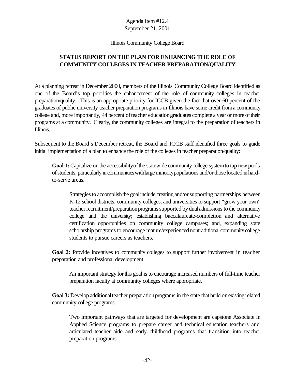#### Illinois Community College Board

# **STATUS REPORT ON THE PLAN FOR ENHANCING THE ROLE OF COMMUNITY COLLEGES IN TEACHER PREPARATION/QUALITY**

At a planning retreat in December 2000, members of the Illinois Community College Board identified as one of the Board's top priorities the enhancement of the role of community colleges in teacher preparation/quality. This is an appropriate priority for ICCB given the fact that over 60 percent of the graduates of public university teacher preparation programs in Illinois have some credit froma community college and, more importantly, 44 percent ofteacher educationgraduates complete a year or more oftheir programs at a community. Clearly, the community colleges are integral to the preparation of teachers in Illinois.

Subsequent to the Board's December retreat, the Board and ICCB staff identified three goals to guide initial implementation of a plan to enhance the role of the colleges in teacher preparation/quality:

Goal 1: Capitalize on the accessibility of the statewide community college system to tap new pools of students, particularly in communities with large minority populations and/or those located in hardto-serve areas.

Strategies to accomplish the goal include creating and/or supporting partnerships between K-12 school districts, community colleges, and universities to support "grow your own" teacher recruitment/preparation programs supported by dual admissions to the community college and the university; establishing baccalaureate-completion and alternative certification opportunities on community college campuses; and, expanding state scholarship programs to encourage mature/experienced nontraditional community college students to pursue careers as teachers.

**Goal 2:** Provide incentives to community colleges to support further involvement in teacher preparation and professional development.

An important strategy forthis goal is to encourage increased numbers of full-time teacher preparation faculty at community colleges where appropriate.

**Goal 3:** Develop additional teacher preparation programs in the state that build on existing related community college programs.

Two important pathways that are targeted for development are capstone Associate in Applied Science programs to prepare career and technical education teachers and articulated teacher aide and early childhood programs that transition into teacher preparation programs.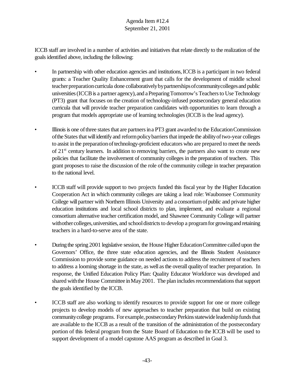ICCB staff are involved in a number of activities and initiatives that relate directly to the realization of the goals identified above, including the following:

- In partnership with other education agencies and institutions, ICCB is a participant in two federal grants: a Teacher Quality Enhancement grant that calls for the development of middle school teacher preparation curricula done collaboratively by partnerships of community colleges and public universities (ICCB is a partner agency), and a Preparing Tomorrow's Teachers to Use Technology (PT3) grant that focuses on the creation of technology-infused postsecondary general education curricula that will provide teacher preparation candidates with opportunities to learn through a program that models appropriate use of learning technologies (ICCB is the lead agency).
- Illinois is one of three states that are partners in a PT3 grant awarded to the Education Commission of the States that will identify and reform policy barriers that impede the ability of two-year colleges to assist in the preparationoftechnology-proficient educators who are prepared to meet the needs of 21<sup>st</sup> century learners. In addition to removing barriers, the partners also want to create new policies that facilitate the involvement of community colleges in the preparation of teachers. This grant proposes to raise the discussion of the role of the community college in teacher preparation to the national level.
- ICCB staff will provide support to two projects funded this fiscal year by the Higher Education Cooperation Act in which community colleges are taking a lead role: Waubonsee Community College will partner with Northern Illinois University and a consortium of public and private higher education institutions and local school districts to plan, implement, and evaluate a regional consortium alternative teacher certification model, and Shawnee Community College will partner withother colleges, universities, and school districts to develop a program for growing and retaining teachers in a hard-to-serve area of the state.
- During the spring 2001 legislative session, the House Higher Education Committee called upon the Governors' Office, the three state education agencies, and the Illinois Student Assistance Commission to provide some guidance on needed actions to address the recruitment of teachers to address a looming shortage in the state, as well asthe overall qualityof teacher preparation. In response, the Unified Education Policy Plan: Quality Educator Workforce was developed and shared with the House Committee in May 2001. The plan includes recommendations that support the goals identified by the ICCB.
- ICCB staff are also working to identify resources to provide support for one or more college projects to develop models of new approaches to teacher preparation that build on existing communitycollege programs. For example, postsecondary Perkins statewide leadership funds that are available to the ICCB as a result of the transition of the administration of the postsecondary portion of this federal program from the State Board of Education to the ICCB will be used to support development of a model capstone AAS program as described in Goal 3.